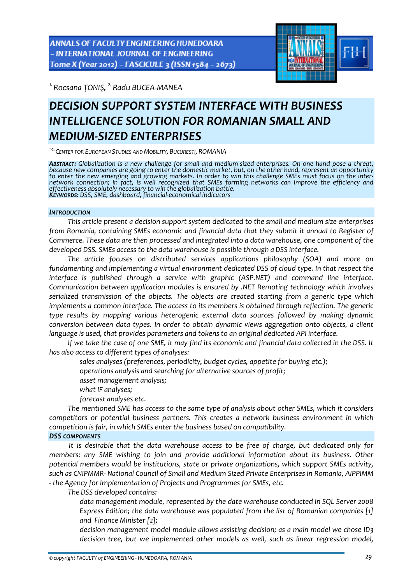ANNALS OF FACULTY ENGINEERING HUNEDOARA - INTERNATIONAL JOURNAL OF ENGINEERING Tome X (Year 2012) - FASCICULE 3 (ISSN 1584 - 2673)



*1.Rocsana ȚONIŞ, 2.Radu BUCEA‐MANEA* 

# *DECISION SUPPORT SYSTEM INTERFACE WITH BUSINESS INTELLIGENCE SOLUTION FOR ROMANIAN SMALL AND MEDIUM‐SIZED ENTERPRISES*

*<sup>1</sup>‐2.CENTER FOR EUROPEAN STUDIES AND MOBILITY, BUCURESTI, ROMANIA*

ABSTRACT: Globalization is a new challenge for small and medium-sized enterprises. On one hand pose a threat, because new companies are going to enter the domestic market, but, on the other hand, represent an opportunity to enter the new emerging and growing markets. In order to win this challenge SMEs must focus on the inter-<br>network connection; in fact, is well recognized that SMEs forming networks can improve the efficiency and effectiveness absolutely necessary to win the globalization battle.<br>Keyworps: DSS, SME, dashboard, financial-economical indicators

#### *INTRODUCTION*

*This article present a decision support system dedicated to the small and medium size enterprises from Romania, containing SMEs economic and financial data that they submit it annual to Register of Commerce. These data are then processed and integrated into a data warehouse, one component of the developed DSS. SMEs access to the data warehouse is possible through a DSS interface.* 

*The article focuses on distributed services applications philosophy (SOA) and more on fundamenting and implementing a virtual environment dedicated DSS of cloud type. In that respect the interface is published through a service with graphic (ASP.NET) and command line interface. Communication between application modules is ensured by .NET Remoting technology which involves serialized transmission of the objects. The objects are created starting from a generic type which implements a common interface. The access to its members is obtained through reflection. The generic type results by mapping various heterogenic external data sources followed by making dynamic conversion between data types. In order to obtain dynamic views aggregation onto objects, a client language is used, that provides parameters and tokens to an original dedicated API interface.*

If we take the case of one SME, it may find its economic and financial data collected in the DSS. It *has also access to different types of analyses:*

*sales analyses (preferences, periodicity, budget cycles, appetite for buying etc.);*

*operations analysis and searching for alternative sources of profit;* 

- *asset management analysis;*
- *what IF analyses;*
- *forecast analyses etc.*

*The mentioned SME has access to the same type of analysis about other SMEs, which it considers competitors or potential business partners. This creates a network business environment in which competition is fair, in which SMEs enter the business based on compatibility.*

# *DSS COMPONENTS*

*It is desirable that the data warehouse access to be free of charge, but dedicated only for members: any SME wishing to join and provide additional information about its business. Other potential members would be institutions, state or private organizations, which support SMEs activity, such as CNIPMMR‐ National Council of Small and Medium Sized Private Enterprises in Romania, AIPPIMM ‐ the Agency for Implementation of Projects and Programmes for SMEs, etc.* 

*The DSS developed contains:* 

 *data management module, represented by the date warehouse conducted in SQL Server 2008 Express Edition; the data warehouse was populated from the list of Romanian companies [1] and Finance Minister [2];* 

 *decision management model module allows assisting decision; as a main model we chose ID3 decision tree, but we implemented other models as well, such as linear regression model,*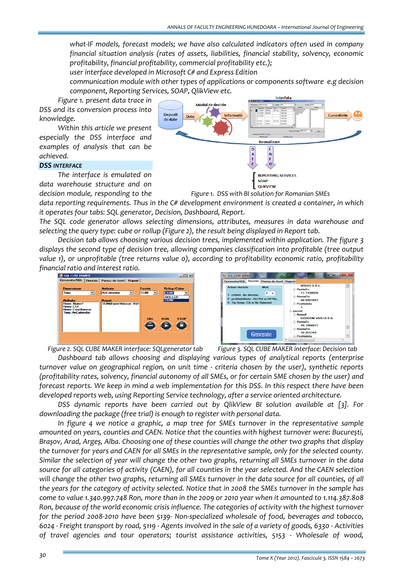*what‐IF models, forecast models; we have also calculated indicators often used in company financial situation analysis (rates of assets, liabilities, financial stability, solvency, economic profitability, financial profitability, commercial profitability etc.);* 

*user interface developed in Microsoft C# and Express Edition* 

 *communication module with other types of applications or components software e.g decision component, Reporting Services, SOAP, QlikView etc.*

*Figure 1. present data trace in DSS and its conversion process into knowledge.*

*Within this article we present especially the DSS interface and examples of analysis that can be achieved.*

### *DSS INTERFACE*

*The interface is emulated on data warehouse structure and on decision module, responding to the*



*Figure 1. DSS with BI solution for Romanian SMEs*

*data reporting requirements. Thus in the C# development environment is created a container, in which it operates four tabs: SQL generator, Decision, Dashboard, Report.* 

*The SQL code generator allows selecting dimensions, attributes, measures in data warehouse and selecting the query type: cube or rollup (Figure 2), the result being displayed in Report tab.*

*Decision tab allows choosing various decision trees, implemented within application. The figure 3 displays the second type of decision tree, allowing companies classification into profitable (tree output value 1), or unprofitable (tree returns value 0), according to profitability economic ratio, profitability financial ratio and interest ratio.*





*Figure 2. SQL CUBE MAKER interface: SQLgenerator tab Figure 3. SQL CUBE MAKER interface: Decision tab*

*Dashboard tab allows choosing and displaying various types of analytical reports (enterprise turnover value on geographical region, on unit time ‐ criteria chosen by the user), synthetic reports* (profitability rates, solvency, financial autonomy of all SMEs, or for certain SME chosen by the user) and forecast reports. We keep in mind a web implementation for this DSS. In this respect there have been *developed reports web, using Reporting Service technology, after a service oriented architecture.*

*DSS dynamic reports have been carried out by QlikView BI solution available at [3]. For downloading the package (free trial) is enough to register with personal data.* 

*In figure 4 we notice a graphic, a map tree for SMEs turnover in the representative sample amounted on years, counties and CAEN. Notice that the counties with highest turnover were: București,* Brașov, Arad, Argeș, Alba. Choosing one of these counties will change the other two graphs that display the turnover for years and CAEN for all SMEs in the representative sample, only for the selected county. Similar the selection of year will change the other two graphs, returning all SMEs turnover in the data source for all categories of activity (CAEN), for all counties in the year selected. And the CAEN selection will change the other two graphs, returning all SMEs turnover in the data source for all counties, of all the years for the category of activity selected. Notice that in 2008 the SMEs turnover in the sample has come to value 1.340.997.748 Ron, more than in the 2009 or 2010 year when it amounted to 1.114.387.808 *Ron, because of the world economic crisis influence. The categories of activity with the highest turnover* for the period 2008-2010 have been 5139- Non-specialized wholesale of food, beverages and tobacco, 6024 - Freight transport by road, 5119 - Agents involved in the sale of a variety of goods, 6330 - Activities *of travel agencies and tour operators; tourist assistance activities, 5153 ‐ Wholesale of wood,*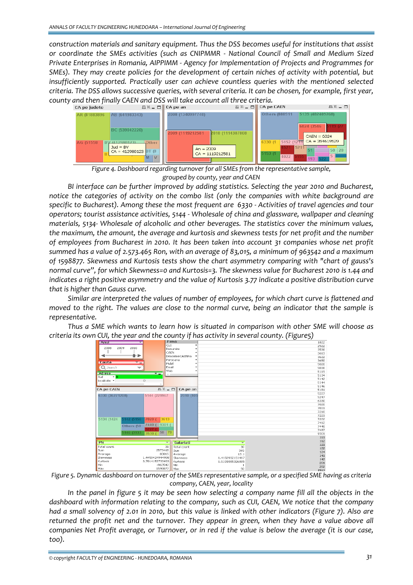*construction materials and sanitary equipment. Thus the DSS becomes useful for institutions that assist or coordinate the SMEs activities (such as CNIPMMR ‐ National Council of Small and Medium Sized Private Enterprises in Romania, AIPPIMM ‐ Agency for Implementation of Projects and Programmes for SMEs). They may create policies for the development of certain niches of activity with potential, but insufficiently supported. Practically user can achieve countless queries with the mentioned selected* criteria. The DSS allows successive queries, with several criteria. It can be chosen, for example, first year, *county and then finally CAEN and DSS will take account all three criteria.*



*Figure 4. Dashboard regarding turnover for all SMEs from the representative sample, grouped by county, year and CAEN*

*BI interface can be further improved by adding statistics. Selecting the year 2010 and Bucharest, notice the categories of activity on the combo list (only the companies with white background are* specific to Bucharest). Among these the most frequent are 6330 - Activities of travel agencies and tour *operators; tourist assistance activities, 5144 ‐ Wholesale of china and glassware, wallpaper and cleaning materials, 5134‐ Wholesale of alcoholic and other beverages. The statistics cover the minimum values, the maximum, the amount, the average and kurtosis and skewness tests for net profit and the number of employees from Bucharest in 2010. It has been taken into account 31 companies whose net profit* summed has a value of 2.573.465 Ron, with an average of 83,015, a minimum of 963542 and a maximum *of 1598877. Skewness and Kurtosis tests show the chart asymmetry comparing with "chart of gauss's normal curve", for which Skewness=0 and Kurtosis=3. The skewness value for Bucharest 2010 is 1.44 and indicates a right positive asymmetry and the value of Kurtosis 3.77 indicate a positive distribution curve that is higher than Gauss curve.* 

*Similar are interpreted the values of number of employees, for which chart curve is flattened and* moved to the right. The values are close to the normal curve, being an indicator that the sample is *representative.*

*Thus a SME which wants to learn how is situated in comparison with other SME will choose as*



Figure 5. Dynamic dashboard on turnover of the SMEs representative sample, or a specified SME having as criteria *company, CAEN, year, locality*

In the panel in figure 5 it may be seen how selecting a company name fill all the objects in the *dashboard with information relating to the company, such as CUI, CAEN, We notice that the company* had a small solvency of 2.01 in 2010, but this value is linked with other indicators (Figure 7). Also are *returned the profit net and the turnover. They appear in green, when they have a value above all* companies Net Profit average, or Turnover, or in red if the value is below the average (it is our case, *too).*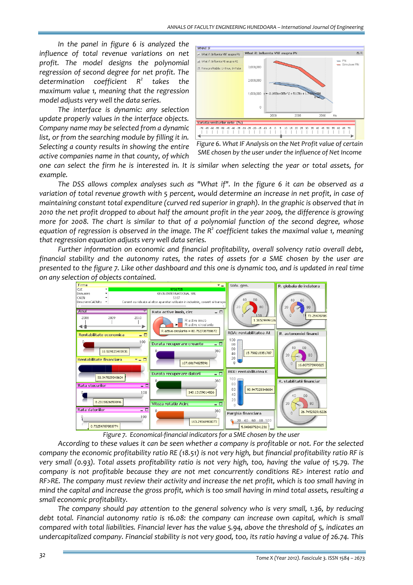*In the panel in figure 6 is analyzed the influence of total revenue variations on net profit. The model designs the polynomial regression of second degree for net profit. The determination coefficient R2 takes the maximum value 1, meaning that the regression model adjusts very well the data series.* 

*The interface is dynamic: any selection update properly values in the interface objects. Company name may be selected from a dynamic list, or from the searching module by filling it in. Selecting a county results in showing the entire active companies name in that county, of which*



*Figure 6. What IF Analysis on the Net Profit value of certain SME chosen by the user under the influence of Net Income*

one can select the firm he is interested in. It is similar when selecting the year or total assets, for *example.*

*The DSS allows complex analyses such as "What if". In the figure 6 it can be observed as a* variation of total revenue growth with 5 percent, would determine an increase in net profit, in case of maintaining constant total expenditure (curved red superior in graph). In the graphic is observed that in 2010 the net profit dropped to about half the amount profit in the year 2009, the difference is growing *more for 2008. The chart is similar to that of a polynomial function of the second degree, whose equation of regression is observed in the image. The R2 coefficient takes the maximal value 1, meaning that regression equation adjusts very well data series.* 

*Further information on economic and financial profitability, overall solvency ratio overall debt, financial stability and the autonomy rates, the rates of assets for a SME chosen by the user are* presented to the figure 7. Like other dashboard and this one is dynamic too, and is updated in real time *on any selection of objects contained.*



*Figure 7. Economical‐financial indicators for a SME chosen by the user*

*According to these values it can be seen whether a company is profitable or not. For the selected* company the economic profitability ratio RE (18.51) is not very high, but financial profitability ratio RF is very small (0.93). Total assets profitability ratio is not very high, too, having the value of 15.79. The *company is not profitable because they are not met concurrently conditions RE> interest ratio and* RF>RE. The company must review their activity and increase the net profit, which is too small having in mind the capital and increase the gross profit, which is too small having in mind total assets, resulting a *small economic profitability.*

*The company should pay attention to the general solvency who is very small, 1.36, by reducing debt total. Financial autonomy ratio is 16.08: the company can increase own capital, which is small* compared with total liabilities. Financial lever has the value 5.94, above the threshold of 5, indicates an undercapitalized company. Financial stability is not very good, too, its ratio having a value of 26.74. This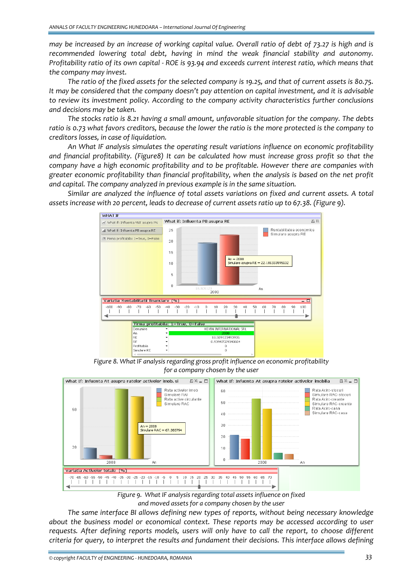may be increased by an increase of working capital value. Overall ratio of debt of 73.27 is high and is *recommended lowering total debt, having in mind the weak financial stability and autonomy.* Profitability ratio of its own capital - ROE is 93.94 and exceeds current interest ratio, which means that *the company may invest.*

The ratio of the fixed assets for the selected company is 19.25, and that of current assets is 80.75. *It may be considered that the company doesn't pay attention on capital investment, and it is advisable to review its investment policy. According to the company activity characteristics further conclusions and decisions may be taken.* 

*The stocks ratio is 8.21 having a small amount, unfavorable situation for the company. The debts* ratio is 0.73 what favors creditors, because the lower the ratio is the more protected is the company to *creditors losses, in case of liquidation.* 

*An What IF analysis simulates the operating result variations influence on economic profitability and financial profitability. (Figure8) It can be calculated how must increase gross profit so that the company have a high economic profitability and to be profitable. However there are companies with greater economic profitability than financial profitability, when the analysis is based on the net profit and capital. The company analyzed in previous example is in the same situation.* 

*Similar are analyzed the influence of total assets variations on fixed and current assets. A total assets increase with 20 percent, leads to decrease of current assets ratio up to 67.38. (Figure 9).*



*Figure 8. What IF analysis regarding gross profit influence on economic profitability for a company chosen by the user*



*Figure 9. What IF analysis regarding total assets influence on fixed and moved assets for a company chosen by the user*

*The same interface BI allows defining new types of reports, without being necessary knowledge about the business model or economical context. These reports may be accessed according to user requests. After defining reports models, users will only have to call the report, to choose different criteria for query, to interpret the results and fundament their decisions. This interface allows defining*